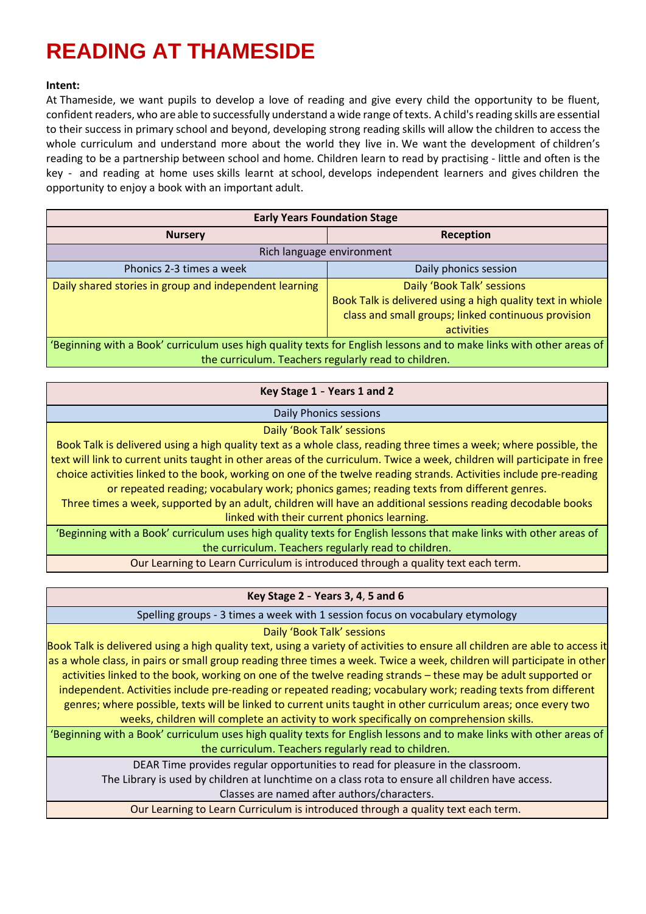# **READING AT THAMESIDE**

## **Intent:**

At Thameside, we want pupils to develop a love of reading and give every child the opportunity to be fluent, confident readers, who are able to successfully understand a wide range of texts. A child's reading skills are essential to their success in primary school and beyond, developing strong reading skills will allow the children to access the whole curriculum and understand more about the world they live in. We want the development of children's reading to be a partnership between school and home. Children learn to read by practising - little and often is the key - and reading at home uses skills learnt at school, develops independent learners and gives children the opportunity to enjoy a book with an important adult.

| <b>Early Years Foundation Stage</b>                                                                                  |                                                            |
|----------------------------------------------------------------------------------------------------------------------|------------------------------------------------------------|
| <b>Nursery</b>                                                                                                       | Reception                                                  |
| Rich language environment                                                                                            |                                                            |
| Phonics 2-3 times a week                                                                                             | Daily phonics session                                      |
| Daily shared stories in group and independent learning                                                               | Daily 'Book Talk' sessions                                 |
|                                                                                                                      | Book Talk is delivered using a high quality text in whiole |
|                                                                                                                      | class and small groups; linked continuous provision        |
|                                                                                                                      | activities                                                 |
| 'Beginning with a Book' curriculum uses high quality texts for English lessons and to make links with other areas of |                                                            |
| the curriculum. Teachers regularly read to children.                                                                 |                                                            |

## **Key Stage 1** - **Years 1 and 2**

### Daily Phonics sessions

### Daily 'Book Talk' sessions

Book Talk is delivered using a high quality text as a whole class, reading three times a week; where possible, the text will link to current units taught in other areas of the curriculum. Twice a week, children will participate in free choice activities linked to the book, working on one of the twelve reading strands. Activities include pre-reading or repeated reading; vocabulary work; phonics games; reading texts from different genres.

Three times a week, supported by an adult, children will have an additional sessions reading decodable books linked with their current phonics learning.

'Beginning with a Book' curriculum uses high quality texts for English lessons that make links with other areas of the curriculum. Teachers regularly read to children.

Our Learning to Learn Curriculum is introduced through a quality text each term.

### **Key Stage 2** - **Years 3, 4**, **5 and 6**

Spelling groups - 3 times a week with 1 session focus on vocabulary etymology

## Daily 'Book Talk' sessions

Book Talk is delivered using a high quality text, using a variety of activities to ensure all children are able to access it as a whole class, in pairs or small group reading three times a week. Twice a week, children will participate in other activities linked to the book, working on one of the twelve reading strands – these may be adult supported or independent. Activities include pre-reading or repeated reading; vocabulary work; reading texts from different genres; where possible, texts will be linked to current units taught in other curriculum areas; once every two weeks, children will complete an activity to work specifically on comprehension skills.

'Beginning with a Book' curriculum uses high quality texts for English lessons and to make links with other areas of the curriculum. Teachers regularly read to children.

DEAR Time provides regular opportunities to read for pleasure in the classroom.

The Library is used by children at lunchtime on a class rota to ensure all children have access.

Classes are named after authors/characters.

Our Learning to Learn Curriculum is introduced through a quality text each term.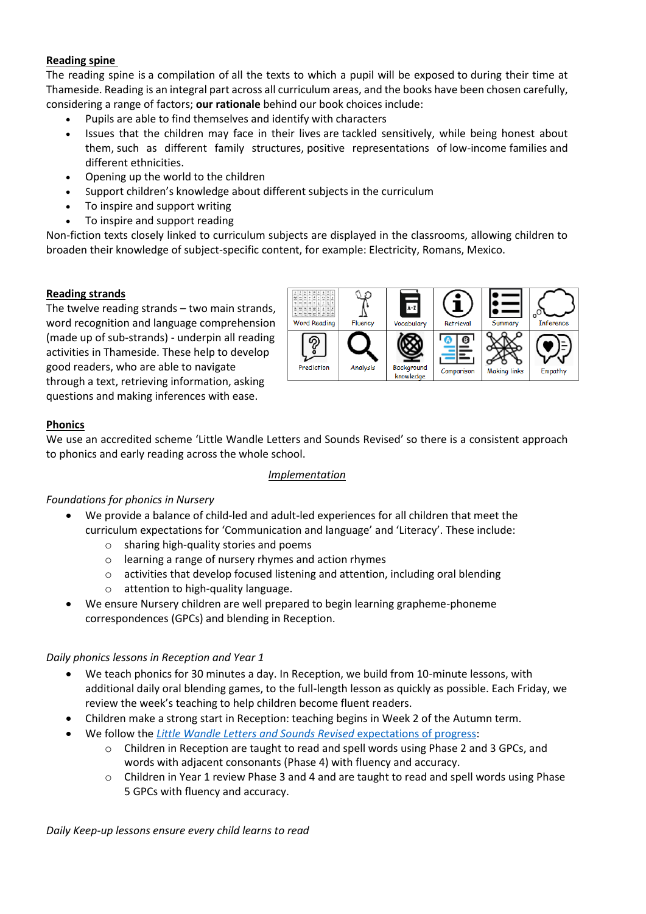# **Reading spine**

The reading spine is a compilation of all the texts to which a pupil will be exposed to during their time at Thameside. Reading is an integral part across all curriculum areas, and the books have been chosen carefully, considering a range of factors; **our rationale** behind our book choices include:

- Pupils are able to find themselves and identify with characters
- Issues that the children may face in their lives are tackled sensitively, while being honest about them, such as different family structures, positive representations of low-income families and different ethnicities.
- Opening up the world to the children
- Support children's knowledge about different subjects in the curriculum
- To inspire and support writing
- To inspire and support reading

Non-fiction texts closely linked to curriculum subjects are displayed in the classrooms, allowing children to broaden their knowledge of subject-specific content, for example: Electricity, Romans, Mexico.

## **Reading strands**

The twelve reading strands – two main strands, word recognition and language comprehension (made up of sub-strands) - underpin all reading activities in Thameside. These help to develop good readers, who are able to navigate through a text, retrieving information, asking questions and making inferences with ease.



# **Phonics**

We use an accredited scheme 'Little Wandle Letters and Sounds Revised' so there is a consistent approach to phonics and early reading across the whole school.

### *Implementation*

# *Foundations for phonics in Nursery*

- We provide a balance of child-led and adult-led experiences for all children that meet the curriculum expectations for 'Communication and language' and 'Literacy'. These include:
	- o sharing high-quality stories and poems
	- o learning a range of nursery rhymes and action rhymes
	- o activities that develop focused listening and attention, including oral blending
	- o attention to high-quality language.
- We ensure Nursery children are well prepared to begin learning grapheme-phoneme correspondences (GPCs) and blending in Reception.

# *Daily phonics lessons in Reception and Year 1*

- We teach phonics for 30 minutes a day. In Reception, we build from 10-minute lessons, with additional daily oral blending games, to the full-length lesson as quickly as possible. Each Friday, we review the week's teaching to help children become fluent readers.
- Children make a strong start in Reception: teaching begins in Week 2 of the Autumn term.
- We follow the *[Little Wandle Letters and Sounds Revised](https://www.littlewandlelettersandsounds.org.uk/wp-content/uploads/2021/06/Programme-Overview_Reception-and-Year-1.pdf)* expectations of progress:
	- o Children in Reception are taught to read and spell words using Phase 2 and 3 GPCs, and words with adjacent consonants (Phase 4) with fluency and accuracy.
	- o Children in Year 1 review Phase 3 and 4 and are taught to read and spell words using Phase 5 GPCs with fluency and accuracy.

*Daily Keep-up lessons ensure every child learns to read*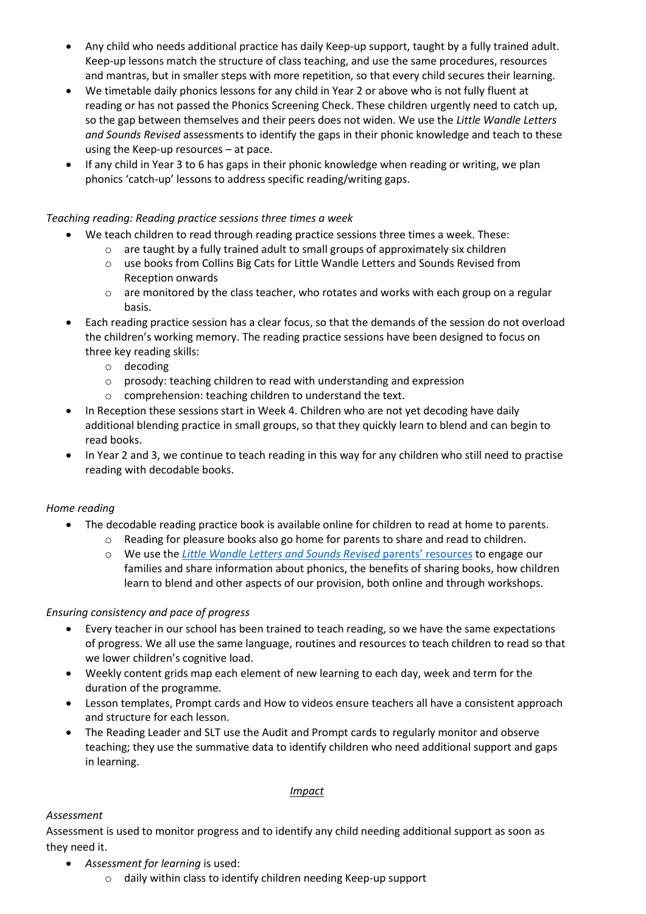- Any child who needs additional practice has daily Keep-up support, taught by a fully trained adult. Keep-up lessons match the structure of class teaching, and use the same procedures, resources and mantras, but in smaller steps with more repetition, so that every child secures their learning.
- We timetable daily phonics lessons for any child in Year 2 or above who is not fully fluent at reading or has not passed the Phonics Screening Check. These children urgently need to catch up, so the gap between themselves and their peers does not widen. We use the *Little Wandle Letters and Sounds Revised* assessments to identify the gaps in their phonic knowledge and teach to these using the Keep-up resources – at pace.
- If any child in Year 3 to 6 has gaps in their phonic knowledge when reading or writing, we plan phonics 'catch-up' lessons to address specific reading/writing gaps.

# *Teaching reading: Reading practice sessions three times a week*

- We teach children to read through reading practice sessions three times a week. These:
	- $\circ$  are taught by a fully trained adult to small groups of approximately six children
	- o use books from Collins Big Cats for Little Wandle Letters and Sounds Revised from Reception onwards
	- o are monitored by the class teacher, who rotates and works with each group on a regular basis.
- Each reading practice session has a clear focus, so that the demands of the session do not overload the children's working memory. The reading practice sessions have been designed to focus on three key reading skills:
	- o decoding
	- o prosody: teaching children to read with understanding and expression
	- o comprehension: teaching children to understand the text.
- In Reception these sessions start in Week 4. Children who are not yet decoding have daily additional blending practice in small groups, so that they quickly learn to blend and can begin to read books.
- In Year 2 and 3, we continue to teach reading in this way for any children who still need to practise reading with decodable books.

# *Home reading*

- The decodable reading practice book is available online for children to read at home to parents.
	- o Reading for pleasure books also go home for parents to share and read to children.
	- o We use the *[Little Wandle Letters and Sounds Revised](https://www.littlewandlelettersandsounds.org.uk/resources/for-parents/)* parents' resources to engage our families and share information about phonics, the benefits of sharing books, how children learn to blend and other aspects of our provision, both online and through workshops.

# *Ensuring consistency and pace of progress*

- Every teacher in our school has been trained to teach reading, so we have the same expectations of progress. We all use the same language, routines and resources to teach children to read so that we lower children's cognitive load.
- Weekly content grids map each element of new learning to each day, week and term for the duration of the programme.
- Lesson templates, Prompt cards and How to videos ensure teachers all have a consistent approach and structure for each lesson.
- The Reading Leader and SLT use the Audit and Prompt cards to regularly monitor and observe teaching; they use the summative data to identify children who need additional support and gaps in learning.

### *Impact*

# *Assessment*

Assessment is used to monitor progress and to identify any child needing additional support as soon as they need it.

- *[Assessment for learning](https://www.littlewandlelettersandsounds.org.uk/wp-content/uploads/2021/03/LS-KEY-GUIDANCE-GETTING-STARTED-ASSESSMENT-FINAL.pdf)* is used:
	- o daily within class to identify children needing Keep-up support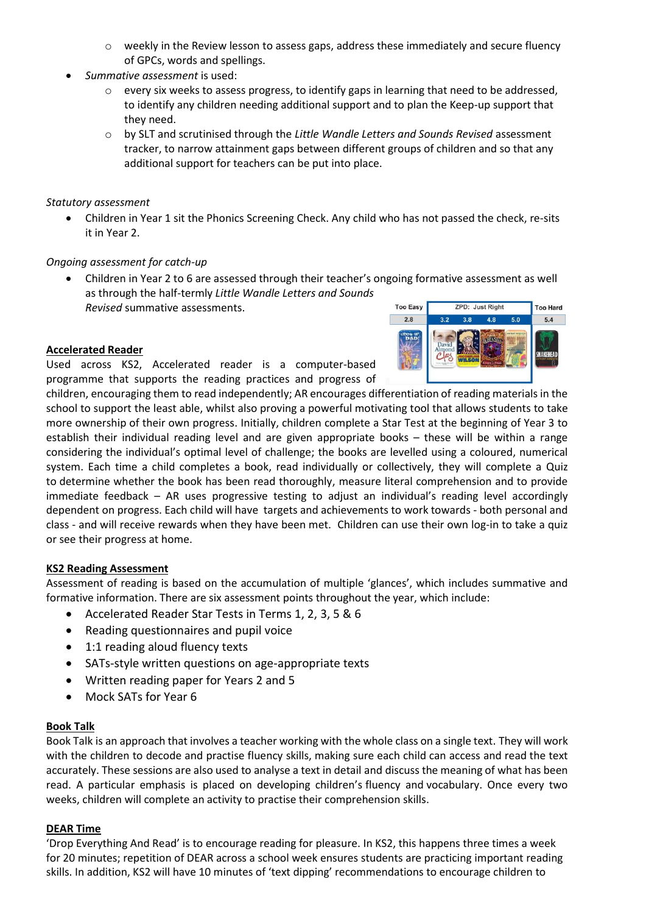- o weekly in the Review lesson to assess gaps, address these immediately and secure fluency of GPCs, words and spellings.
- *[Summative assessment](https://www.littlewandlelettersandsounds.org.uk/resources/my-letters-and-sounds/assessment-tools/)* is used:
	- $\circ$  every six weeks to assess progress, to identify gaps in learning that need to be addressed, to identify any children needing additional support and to plan the Keep-up support that they need.
	- o by SLT and scrutinised through the *Little Wandle Letters and Sounds Revised* assessment tracker, to narrow attainment gaps between different groups of children and so that any additional support for teachers can be put into place.

*Statutory assessment*

• Children in Year 1 sit the Phonics Screening Check. Any child who has not passed the check, re-sits it in Year 2.

### *Ongoing assessment for catch-up*

• Children in Year 2 to 6 are assessed through their teacher's ongoing formative assessment as well as through the half-termly *Little Wandle Letters and Sounds Revised* summative assessments. **Too Easy ZPD: Just Right** 

## **Accelerated Reader**

Used across KS2, Accelerated reader is a computer-based programme that supports the reading practices and progress of



children, encouraging them to read independently; AR encourages differentiation of reading materials in the school to support the least able, whilst also proving a powerful motivating tool that allows students to take more ownership of their own progress. Initially, children complete a Star Test at the beginning of Year 3 to establish their individual reading level and are given appropriate books – these will be within a range considering the individual's optimal level of challenge; the books are levelled using a coloured, numerical system. Each time a child completes a book, read individually or collectively, they will complete a Quiz to determine whether the book has been read thoroughly, measure literal comprehension and to provide immediate feedback – AR uses progressive testing to adjust an individual's reading level accordingly dependent on progress. Each child will have targets and achievements to work towards - both personal and class - and will receive rewards when they have been met. Children can use their own log-in to take a quiz or see their progress at home.

### **KS2 Reading Assessment**

Assessment of reading is based on the accumulation of multiple 'glances', which includes summative and formative information. There are six assessment points throughout the year, which include:

- Accelerated Reader Star Tests in Terms 1, 2, 3, 5 & 6
- Reading questionnaires and pupil voice
- 1:1 reading aloud fluency texts
- SATs-style written questions on age-appropriate texts
- Written reading paper for Years 2 and 5
- Mock SATs for Year 6

### **Book Talk**

Book Talk is an approach that involves a teacher working with the whole class on a single text. They will work with the children to decode and practise fluency skills, making sure each child can access and read the text accurately. These sessions are also used to analyse a text in detail and discuss the meaning of what has been read. A particular emphasis is placed on developing children's fluency and vocabulary. Once every two weeks, children will complete an activity to practise their comprehension skills.

### **DEAR Time**

'Drop Everything And Read' is to encourage reading for pleasure. In KS2, this happens three times a week for 20 minutes; repetition of DEAR across a school week ensures students are practicing important reading skills. In addition, KS2 will have 10 minutes of 'text dipping' recommendations to encourage children to